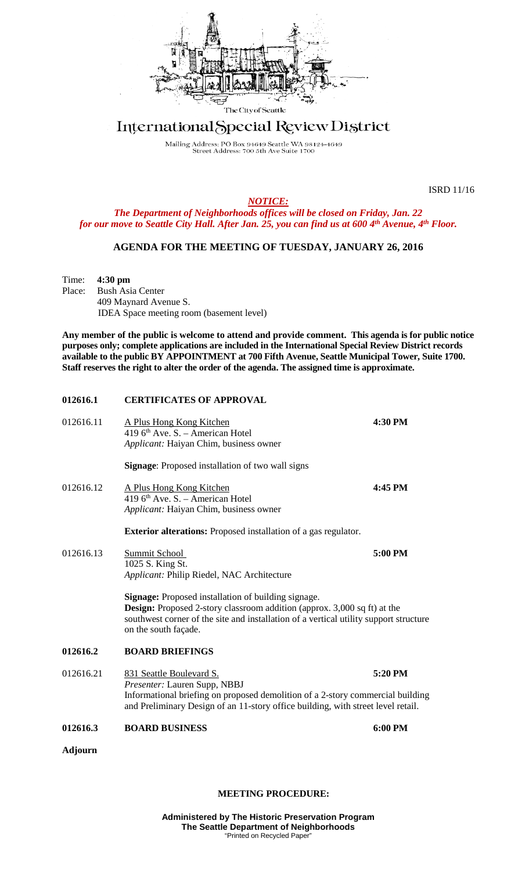

## International Special Review District

Mailing Address: PO Box 94649 Seattle WA 98124-4649<br>Street Address: 700 5th Ave Suite 1700

ISRD 11/16

*NOTICE:*

*The Department of Neighborhoods offices will be closed on Friday, Jan. 22 for our move to Seattle City Hall. After Jan. 25, you can find us at 600 4th Avenue, 4th Floor.*

## **AGENDA FOR THE MEETING OF TUESDAY, JANUARY 26, 2016**

Time: **4:30 pm**<br>Place: Bush Asi **Bush Asia Center** 409 Maynard Avenue S. IDEA Space meeting room (basement level)

**Any member of the public is welcome to attend and provide comment. This agenda is for public notice purposes only; complete applications are included in the International Special Review District records available to the public BY APPOINTMENT at 700 Fifth Avenue, Seattle Municipal Tower, Suite 1700. Staff reserves the right to alter the order of the agenda. The assigned time is approximate.** 

| 012616.1       | <b>CERTIFICATES OF APPROVAL</b>                                                                                                                                                                                                                                |         |
|----------------|----------------------------------------------------------------------------------------------------------------------------------------------------------------------------------------------------------------------------------------------------------------|---------|
| 012616.11      | A Plus Hong Kong Kitchen<br>419 $6th$ Ave. S. – American Hotel<br>Applicant: Haiyan Chim, business owner                                                                                                                                                       | 4:30 PM |
|                | <b>Signage:</b> Proposed installation of two wall signs                                                                                                                                                                                                        |         |
| 012616.12      | A Plus Hong Kong Kitchen<br>419 6 <sup>th</sup> Ave. S. - American Hotel<br>Applicant: Haiyan Chim, business owner                                                                                                                                             | 4:45 PM |
|                | <b>Exterior alterations:</b> Proposed installation of a gas regulator.                                                                                                                                                                                         |         |
| 012616.13      | Summit School<br>1025 S. King St.<br>Applicant: Philip Riedel, NAC Architecture                                                                                                                                                                                | 5:00 PM |
|                | <b>Signage:</b> Proposed installation of building signage.<br><b>Design:</b> Proposed 2-story classroom addition (approx. 3,000 sq ft) at the<br>southwest corner of the site and installation of a vertical utility support structure<br>on the south façade. |         |
| 012616.2       | <b>BOARD BRIEFINGS</b>                                                                                                                                                                                                                                         |         |
| 012616.21      | 831 Seattle Boulevard S.<br>Presenter: Lauren Supp, NBBJ<br>Informational briefing on proposed demolition of a 2-story commercial building<br>and Preliminary Design of an 11-story office building, with street level retail.                                 | 5:20 PM |
| 012616.3       | <b>BOARD BUSINESS</b>                                                                                                                                                                                                                                          | 6:00 PM |
| <b>Adjourn</b> |                                                                                                                                                                                                                                                                |         |

## **MEETING PROCEDURE:**